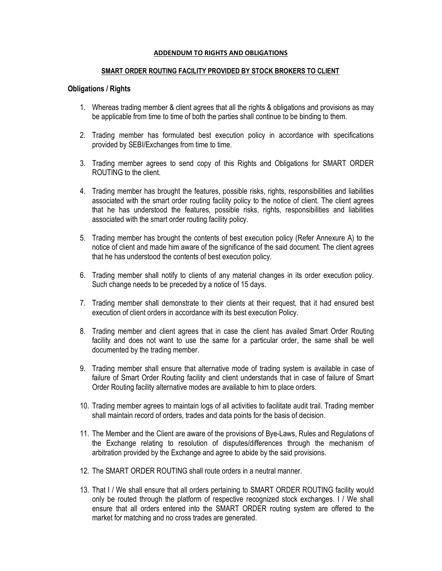#### **ADDENDUM TO RIGHTS AND OBLIGATIONS**

#### **SMART ORDER ROUTING FACILITY PROVIDED BY STOCK BROKERS TO CLIENT**

#### **Obligations / Rights**

- 1. Whereas trading member & client agrees that all the rights & obligations and provisions as may be applicable from time to time of both the parties shall continue to be binding to them.
- 2. Trading member has formulated best execution policy in accordance with specifications provided by SEBI/Exchanges from time to time.
- 3. Trading member agrees to send copy of this Rights and Obligations for SMART ORDER ROUTING to the client.
- 4. Trading member has brought the features, possible risks, rights, responsibilities and liabilities associated with the smart order routing facility policy to the notice of client. The client agrees that he has understood the features, possible risks, rights, responsibilities and liabilities associated with the smart order routing facility policy.
- 5. Trading member has brought the contents of best execution policy (Refer Annexure A) to the notice of client and made him aware of the significance of the said document. The client agrees that he has understood the contents of best execution policy.
- 6. Trading member shall notify to clients of any material changes in its order execution policy. Such change needs to be preceded by a notice of 15 days.
- 7. Trading member shall demonstrate to their clients at their request, that it had ensured best execution of client orders in accordance with its best execution Policy.
- 8. Trading member and client agrees that in case the client has availed Smart Order Routing facility and does not want to use the same for a particular order, the same shall be well documented by the trading member.
- 9. Trading member shall ensure that alternative mode of trading system is available in case of failure of Smart Order Routing facility and client understands that in case of failure of Smart Order Routing facility alternative modes are available to him to place orders.
- 10. Trading member agrees to maintain logs of all activities to facilitate audit trail. Trading member shall maintain record of orders, trades and data points for the basis of decision.
- 11. The Member and the Client are aware of the provisions of Bye-Laws, Rules and Regulations of the Exchange relating to resolution of disputes/differences through the mechanism of arbitration provided by the Exchange and agree to abide by the said provisions.
- 12. The SMART ORDER ROUTING shall route orders in a neutral manner.
- 13. That I / We shall ensure that all orders pertaining to SMART ORDER ROUTING facility would only be routed through the platform of respective recognized stock exchanges. I / We shall ensure that all orders entered into the SMART ORDER routing system are offered to the market for matching and no cross trades are generated.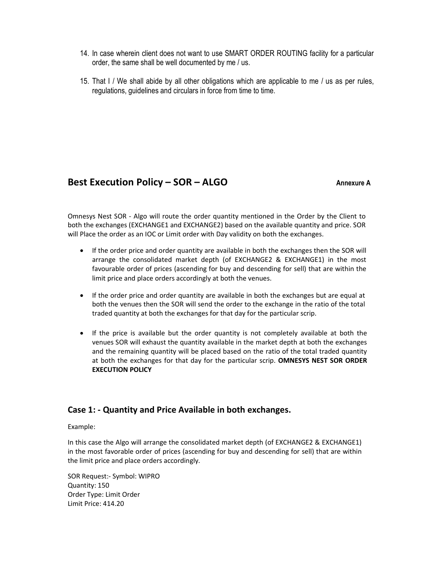- 14. In case wherein client does not want to use SMART ORDER ROUTING facility for a particular order, the same shall be well documented by me / us.
- 15. That I / We shall abide by all other obligations which are applicable to me / us as per rules, regulations, guidelines and circulars in force from time to time.

## **Best Execution Policy – SOR – ALGO Annexure A**

Omnesys Nest SOR - Algo will route the order quantity mentioned in the Order by the Client to both the exchanges (EXCHANGE1 and EXCHANGE2) based on the available quantity and price. SOR will Place the order as an IOC or Limit order with Day validity on both the exchanges.

- If the order price and order quantity are available in both the exchanges then the SOR will arrange the consolidated market depth (of EXCHANGE2 & EXCHANGE1) in the most favourable order of prices (ascending for buy and descending for sell) that are within the limit price and place orders accordingly at both the venues.
- If the order price and order quantity are available in both the exchanges but are equal at both the venues then the SOR will send the order to the exchange in the ratio of the total traded quantity at both the exchanges for that day for the particular scrip.
- If the price is available but the order quantity is not completely available at both the venues SOR will exhaust the quantity available in the market depth at both the exchanges and the remaining quantity will be placed based on the ratio of the total traded quantity at both the exchanges for that day for the particular scrip. **OMNESYS NEST SOR ORDER EXECUTION POLICY**

### **Case 1: - Quantity and Price Available in both exchanges.**

#### Example:

In this case the Algo will arrange the consolidated market depth (of EXCHANGE2 & EXCHANGE1) in the most favorable order of prices (ascending for buy and descending for sell) that are within the limit price and place orders accordingly.

SOR Request:- Symbol: WIPRO Quantity: 150 Order Type: Limit Order Limit Price: 414.20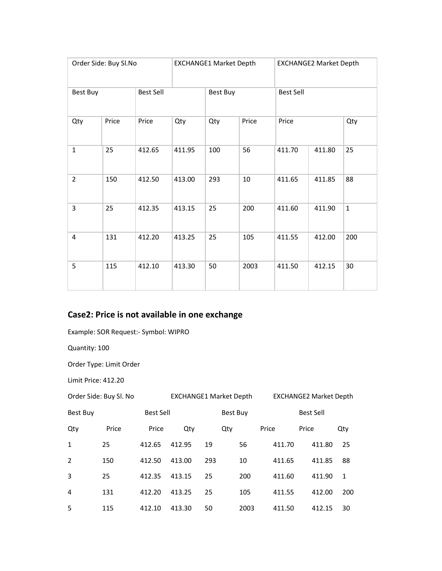| Order Side: Buy Sl.No |       |                  |        | <b>EXCHANGE1 Market Depth</b> |       | <b>EXCHANGE2 Market Depth</b> |        |              |  |  |
|-----------------------|-------|------------------|--------|-------------------------------|-------|-------------------------------|--------|--------------|--|--|
| <b>Best Buy</b>       |       | <b>Best Sell</b> |        | Best Buy                      |       | <b>Best Sell</b>              |        |              |  |  |
| Qty                   | Price | Price            | Qty    | Qty                           | Price | Price                         |        | Qty          |  |  |
| $\mathbf{1}$          | 25    | 412.65           | 411.95 | 100                           | 56    | 411.70<br>411.80              |        | 25           |  |  |
| $\overline{2}$        | 150   | 412.50           | 413.00 | 293                           | 10    | 411.65                        | 411.85 | 88           |  |  |
| 3                     | 25    | 412.35           | 413.15 | 25                            | 200   | 411.60                        | 411.90 | $\mathbf{1}$ |  |  |
| 4                     | 131   | 412.20           | 413.25 | 25                            | 105   | 411.55                        | 412.00 | 200          |  |  |
| 5                     | 115   | 412.10           | 413.30 | 50                            | 2003  | 411.50                        | 412.15 | 30           |  |  |

# **Case2: Price is not available in one exchange**

Example: SOR Request:- Symbol: WIPRO

Quantity: 100

Order Type: Limit Order

Limit Price: 412.20

| Order Side: Buy Sl. No |       |           | <b>EXCHANGE1 Market Depth</b> |     |                 |        | <b>EXCHANGE2 Market Depth</b> |              |  |  |  |  |
|------------------------|-------|-----------|-------------------------------|-----|-----------------|--------|-------------------------------|--------------|--|--|--|--|
| Best Buy               |       | Best Sell |                               |     | <b>Best Buy</b> |        | Best Sell                     |              |  |  |  |  |
| Qty                    | Price | Price     | Qty                           |     |                 | Price  | Price                         | Qty          |  |  |  |  |
| 1                      | 25    | 412.65    | 412.95                        | 19  | 56              | 411.70 | 411.80                        | 25           |  |  |  |  |
| 2                      | 150   | 412.50    | 413.00                        | 293 | 10              | 411.65 | 411.85                        | 88           |  |  |  |  |
| 3                      | 25    | 412.35    | 413.15                        | 25  | 200             | 411.60 | 411.90                        | $\mathbf{1}$ |  |  |  |  |
| 4                      | 131   | 412.20    | 413.25                        | 25  | 105             | 411.55 | 412.00                        | 200          |  |  |  |  |
| 5                      | 115   | 412.10    | 413.30                        | 50  | 2003            | 411.50 | 412.15                        | 30           |  |  |  |  |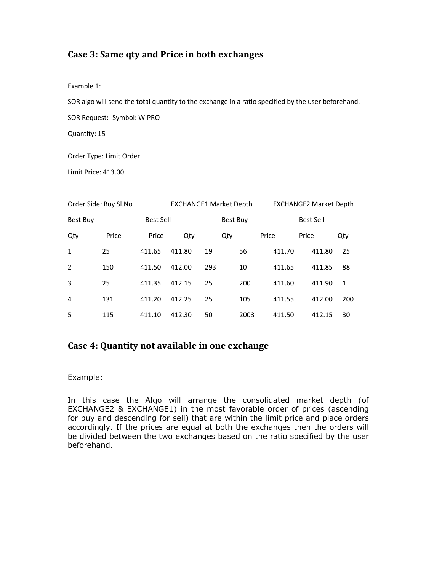### **Case 3: Same qty and Price in both exchanges**

Example 1:

SOR algo will send the total quantity to the exchange in a ratio specified by the user beforehand.

SOR Request:- Symbol: WIPRO

Quantity: 15

Order Type: Limit Order

Limit Price: 413.00

| Order Side: Buy Sl.No |       |                  | <b>EXCHANGE1 Market Depth</b> |     |     |                  | <b>EXCHANGE2 Market Depth</b> |        |     |  |  |  |
|-----------------------|-------|------------------|-------------------------------|-----|-----|------------------|-------------------------------|--------|-----|--|--|--|
| <b>Best Buy</b>       |       | <b>Best Sell</b> | <b>Best Buy</b>               |     |     | <b>Best Sell</b> |                               |        |     |  |  |  |
| Qty                   | Price | Price            | Qty                           |     | Qty |                  | Price                         | Price  | Qty |  |  |  |
| 1                     | 25    | 411.65           | 411.80                        | 19  |     | 56               | 411.70                        | 411.80 | 25  |  |  |  |
| 2                     | 150   | 411.50           | 412.00                        | 293 |     | 10               | 411.65                        | 411.85 | 88  |  |  |  |
| 3                     | 25    | 411.35           | 412.15                        | 25  |     | 200              | 411.60                        | 411.90 | 1   |  |  |  |
| 4                     | 131   | 411.20           | 412.25                        | 25  |     | 105              | 411.55                        | 412.00 | 200 |  |  |  |
| 5                     | 115   | 411.10           | 412.30                        | 50  |     | 2003             | 411.50                        | 412.15 | 30  |  |  |  |

### **Case 4: Quantity not available in one exchange**

Example:

In this case the Algo will arrange the consolidated market depth (of EXCHANGE2 & EXCHANGE1) in the most favorable order of prices (ascending for buy and descending for sell) that are within the limit price and place orders accordingly. If the prices are equal at both the exchanges then the orders will be divided between the two exchanges based on the ratio specified by the user beforehand.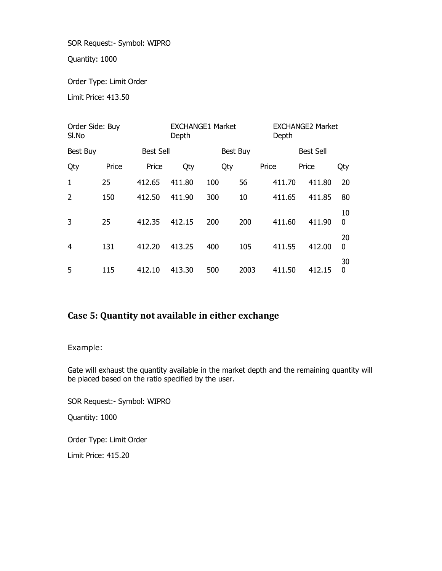SOR Request:- Symbol: WIPRO

Quantity: 1000

Order Type: Limit Order

Limit Price: 413.50

| Order Side: Buy<br>SI.No     |       |        | Depth  | <b>EXCHANGE1 Market</b> |          | <b>EXCHANGE2 Market</b><br>Depth |        |         |  |  |
|------------------------------|-------|--------|--------|-------------------------|----------|----------------------------------|--------|---------|--|--|
| <b>Best Sell</b><br>Best Buy |       |        |        |                         | Best Buy | <b>Best Sell</b>                 |        |         |  |  |
| Qty                          | Price | Price  | Qty    | Qty                     |          | Price                            | Price  | Qty     |  |  |
| 1                            | 25    | 412.65 | 411.80 | 100                     | 56       | 411.70                           | 411.80 | 20      |  |  |
| $\overline{2}$               | 150   | 412.50 | 411.90 | 300                     | 10       | 411.65                           | 411.85 | 80      |  |  |
| 3                            | 25    | 412.35 | 412.15 | 200                     | 200      | 411.60                           | 411.90 | 10<br>0 |  |  |
| 4                            | 131   | 412.20 | 413.25 | 400                     | 105      | 411.55                           | 412.00 | 20<br>0 |  |  |
| 5                            | 115   | 412.10 | 413.30 | 500                     | 2003     | 411.50                           | 412.15 | 30<br>0 |  |  |

# **Case 5: Quantity not available in either exchange**

Example:

Gate will exhaust the quantity available in the market depth and the remaining quantity will be placed based on the ratio specified by the user.

SOR Request:- Symbol: WIPRO

Quantity: 1000

Order Type: Limit Order

Limit Price: 415.20